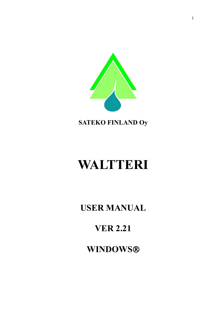

**SATEKO FINLAND Oy**

# **WALTTERI**

**USER MANUAL**

# **VER 2.21**

**WINDOWS**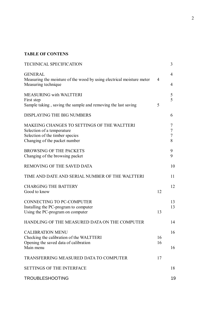#### **TABLE OF CONTENS**

| <b>TECHNICAL SPECIFICATION</b>                                                                                                                |                | 3                |
|-----------------------------------------------------------------------------------------------------------------------------------------------|----------------|------------------|
| <b>GENERAL</b><br>Measuring the moisture of the wood by using electrical moisture meter<br>Measuring technique                                | $\overline{4}$ | 4<br>4           |
| <b>MEASURING with WALTTERI</b><br>First step<br>Sample taking, saving the sample and removing the last saving                                 | 5              | 5<br>5           |
| DISPLAYING THE BIG NUMBERS                                                                                                                    |                | 6                |
| MAKEING CHANGES TO SETTINGS OF THE WALTTERI<br>Selection of a temperature<br>Selection of the timber species<br>Changing of the packet number |                | 7<br>7<br>7<br>8 |
| <b>BROWSING OF THE PACKETS</b><br>Changing of the browsing packet                                                                             |                | 9<br>9           |
| <b>REMOVING OF THE SAVED DATA</b>                                                                                                             |                | 10               |
| TIME AND DATE AND SERIAL NUMBER OF THE WALTTERI                                                                                               |                | 11               |
| <b>CHARGING THE BATTERY</b><br>Good to know                                                                                                   | 12             | 12               |
| <b>CONNECTING TO PC-COMPUTER</b><br>Installing the PC-program to computer<br>Using the PC-program on computer                                 | 13             | 13<br>13         |
| HANDLING OF THE MEASURED DATA ON THE COMPUTER                                                                                                 |                | 14               |
| <b>CALIBRATION MENU</b><br>Checking the calibration of the WALTTERI<br>Opening the saved data of calibration<br>Main menu                     | 16<br>16       | 16<br>16         |
| TRANSFERRING MEASURED DATA TO COMPUTER                                                                                                        | 17             |                  |
| <b>SETTINGS OF THE INTERFACE</b>                                                                                                              |                | 18               |
| <b>TROUBLESHOOTING</b>                                                                                                                        |                | 19               |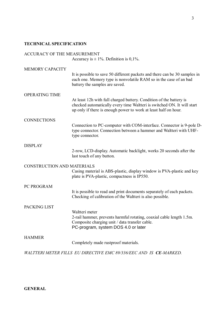#### **TECHNICAL SPECIFICATION**

### ACCURACY OF THE MEASUREMENT

Accuracy is  $\pm$  1%. Definition is 0,1%.

| <b>MEMORY CAPACITY</b>     |                                                                                                                                                                                                                   |
|----------------------------|-------------------------------------------------------------------------------------------------------------------------------------------------------------------------------------------------------------------|
|                            | It is possible to save 50 different packets and there can be 30 samples in<br>each one. Memory type is nonvolatile RAM so in the case of an bad<br>battery the samples are saved.                                 |
| <b>OPERATING TIME</b>      |                                                                                                                                                                                                                   |
|                            | At least 12h with full charged battery. Condition of the battery is<br>checked automatically every time Waltteri is switched ON. It will start<br>up only if there is enough power to work at least half on hour. |
| <b>CONNECTIONS</b>         |                                                                                                                                                                                                                   |
|                            | Connection to PC-computer with COM-interface. Connector is 9-pole D-<br>type connector. Connection between a hammer and Waltteri with UHF-<br>type connector.                                                     |
| <b>DISPLAY</b>             |                                                                                                                                                                                                                   |
|                            | 2-row, LCD-display. Automatic backlight, works 20 seconds after the<br>last touch of any button.                                                                                                                  |
| CONSTRUCTION AND MATERIALS |                                                                                                                                                                                                                   |
|                            | Casing material is ABS-plastic, display window is PVA-plastic and key<br>plate is PVA-plastic, compactness is IP550.                                                                                              |
| PC PROGRAM                 |                                                                                                                                                                                                                   |
|                            | It is possible to read and print documents separately of each packets.<br>Checking of calibration of the Waltteri is also possible.                                                                               |
| PACKING LIST               |                                                                                                                                                                                                                   |
|                            | Waltteri meter                                                                                                                                                                                                    |
|                            | 2-rail hammer, prevents harmful rotating, coaxial cable length 1.5m.<br>Composite charging unit / data transfer cable.                                                                                            |
|                            | PC-program, system DOS 4.0 or later                                                                                                                                                                               |
| <b>HAMMER</b>              |                                                                                                                                                                                                                   |
|                            | Completely made rustproof materials.                                                                                                                                                                              |
|                            | WALTTERI METER FILLS EU DIRECTIVE EMC 89/336/EEC AND IS CE-MARKED.                                                                                                                                                |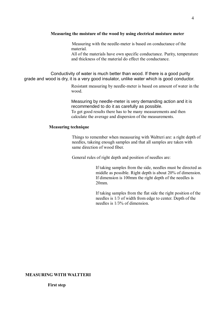#### **Measuring the moisture of the wood by using electrical moisture meter**

Measuring with the needle-meter is based on conductance of the material.

All of the materials have own specific conductance. Purity, temperature and thickness of the material do effect the conductance.

Conductivity of water is much better than wood. If there is a good purity grade and wood is dry, it is a very good insulator, unlike water which is good conductor.

> Resistant measuring by needle-meter is based on amount of water in the wood.

Measuring by needle-meter is very demanding action and it is recommended to do it as carefully as possible. To get good results there has to be many measurements and then calculate the average and dispersion of the measurements.

#### **Measuring technique**

Things to remember when meausuring with Waltteri are: a right depth of needles, takeing enough samples and that all samples are taken with same direction of wood fiber.

General rules of right depth and position of needles are:

If taking samples from the side, needles must be directed as middle as possible. Right depth is about 20% of dimension. If dimension is 100mm the right depth of the needles is 20mm.

 If taking samples from the flat side the right position of the needles is 1/3 of width from edge to center. Depth of the needles is 1/3% of dimension.

#### **MEASURING WITH WALTTERI**

**First step**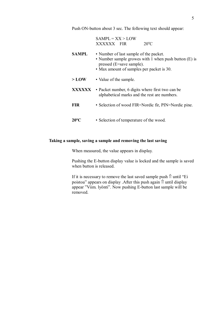Push ON-button about 3 sec. The following text should appear:

|                | $SAMPLE = XX > LOW$                                                                                                                                                      |
|----------------|--------------------------------------------------------------------------------------------------------------------------------------------------------------------------|
|                | $20^{\circ}$ C<br>XXXXXX FIR                                                                                                                                             |
| <b>SAMPL</b>   | • Number of last sample of the packet.<br>• Number sample growes with 1 when push button (E) is<br>pressed (E=save sample).<br>• Max amount of samples per packet is 30. |
| $>$ LOW        | • Value of the sample.                                                                                                                                                   |
| XXXXXX         | • Packet number, 6 digits where first two can be<br>alphabetical marks and the rest are numbers.                                                                         |
| <b>FIR</b>     | • Selection of wood FIR=Nordic fir, PIN=Nordic pine.                                                                                                                     |
| $20^{\circ}$ C | • Selection of temperature of the wood.                                                                                                                                  |

#### **Taking a sample, saving a sample and removing the last saving**

When measured, the value appears in display.

Pushing the E-button display value is locked and the sample is saved when button is released.

If it is necessary to remove the last saved sample push  $\hat{\parallel}$  until "Ei poistoa" appears on display .After this push again  $\hat{\parallel}$  until display appear "Viim. lyönti". Now pushing E-button last sample will be removed.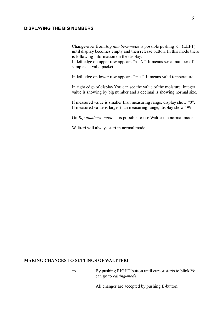#### **DISPLAYING THE BIG NUMBERS**

Change-over from *Big numbers-mode* is possible pushing  $\Leftarrow$  (LEFT) until display becomes empty and then release button. In this mode there is following information on the display:

In left edge on upper row appears " $n = X$ ". It means serial number of samples in valid packet.

In left edge on lower row appears " $t = x$ ". It means valid temperature.

In right edge of display You can see the value of the moisture. Integer value is showing by big number and a decimal is showing normal size.

If measured value is smaller than measuring range, display show "0". If measured value is larger than measuring range, display show "99".

On *Big numbers- mode* it is possible to use Waltteri in normal mode.

Waltteri will always start in normal mode.

#### **MAKING CHANGES TO SETTINGS OF WALTTERI**

 $\Rightarrow$  By pushing RIGHT button until cursor starts to blink You can go to *editing-mode.*

All changes are accepted by pushing E-button.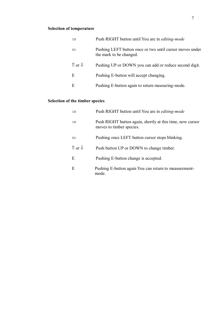# **Selection of temperature**

| $\Rightarrow$                     | Push RIGHT button until You are in editing-mode                                     |
|-----------------------------------|-------------------------------------------------------------------------------------|
| $\Leftarrow$                      | Pushing LEFT button once or two until cursor moves under<br>the mark to be changed. |
| $\hat{\parallel}$ or $\downarrow$ | Pushing UP or DOWN you can add or reduce second digit.                              |
| Ε                                 | Pushing E-button will accept changing.                                              |
| Ε                                 | Pushing E-button again to return measuring-mode.                                    |

# **Selection of the timber species**

| $\Rightarrow$                     | Push RIGHT button until You are in <i>editing-mode</i>                                |
|-----------------------------------|---------------------------------------------------------------------------------------|
| $\Rightarrow$                     | Push RIGHT button again, shortly at this time, now cursor<br>moves to timber species. |
| $\Leftarrow$                      | Pushing once LEFT button cursor stops blinking.                                       |
| $\hat{\parallel}$ or $\downarrow$ | Push button UP or DOWN to change timber.                                              |
| E                                 | Pushing E-button change is accepted.                                                  |
| E                                 | Pushing E-button again You can return to measurement-<br>mode.                        |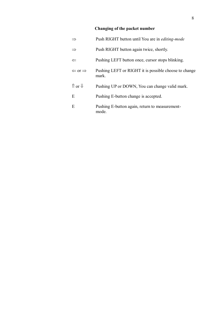# **Changing of the packet number**

|                                   | Push RIGHT button until You are in <i>editing-mode</i>         |
|-----------------------------------|----------------------------------------------------------------|
| $\Rightarrow$                     | Push RIGHT button again twice, shortly.                        |
| $\Leftarrow$                      | Pushing LEFT button once, cursor stops blinking.               |
| $\Leftarrow$ or $\Rightarrow$     | Pushing LEFT or RIGHT it is possible choose to change<br>mark. |
| $\hat{\parallel}$ or $\downarrow$ | Pushing UP or DOWN, You can change valid mark.                 |
| E                                 | Pushing E-button change is accepted.                           |
| E                                 | Pushing E-button again, return to measurement-<br>mode.        |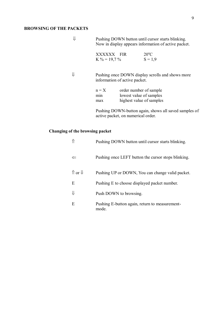#### **BROWSING OF THE PACKETS**

 Pushing DOWN button until cursor starts blinking. Now in display appears information of active packet.

| XXXXXX<br><b>FIR</b> | $20^{\circ}$ C |
|----------------------|----------------|
| $K\% = 19.7\%$       | $S = 1.9$      |

 Pushing once DOWN display scrolls and shows more information of active packet.

| $n = X$ | order number of sample   |
|---------|--------------------------|
| min     | lowest value of samples  |
| max     | highest value of samples |

 Pushing DOWN-button again, shows all saved samples of active packet, on numerical order.

#### **Changing of the browsing packet**

|                                   | Pushing DOWN button until cursor starts blinking.       |
|-----------------------------------|---------------------------------------------------------|
| $\Leftarrow$                      | Pushing once LEFT button the cursor stops blinking.     |
| $\hat{\parallel}$ or $\downarrow$ | Pushing UP or DOWN, You can change valid packet.        |
| Ε                                 | Pushing E to choose displayed packet number.            |
| ⇓                                 | Push DOWN to browsing.                                  |
| E                                 | Pushing E-button again, return to measurement-<br>mode. |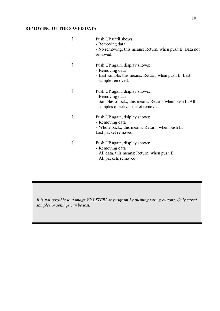#### **REMOVING OF THE SAVED DATA**

| ⇑  | Push UP until shows:<br>- Removing data<br>- No removing, this means: Return, when push E. Data not<br>removed.                                  |
|----|--------------------------------------------------------------------------------------------------------------------------------------------------|
|    | Push UP again, display shows:<br>- Removing data<br>- Last sample, this means: Return, when push E. Last<br>sample removed.                      |
| 11 | Push UP again, dsiplay shows:<br>- Removing data<br>- Samples of pck., this means: Return, when push E. All<br>samples of active packet removed. |
|    | Push UP again, dsiplay shows:<br>- Removing data<br>- Whole pack., this means: Return, when push E.<br>Last packet removed.                      |
| 11 | Push UP again, display shows:<br>- Removing data<br>All data, this means: Return, when push E.<br>All packets removed.                           |

*It is not possible to damage WALTTERI or program by pushing wrong buttons. Only saved samples or settings can be lost.*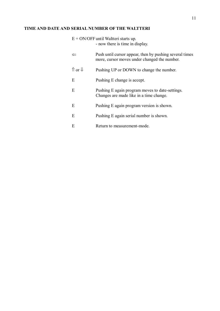#### **TIME AND DATE AND SERIAL NUMBER OF THE WALTTERI**

| $E + ON/OFF$ until Waltteri starts up. |
|----------------------------------------|
| - now there is time in display.        |

|                        | Push until cursor appear, then by pushing several times<br>more, cursor moves under changed the number. |
|------------------------|---------------------------------------------------------------------------------------------------------|
| $\hat{v}$ or $\hat{v}$ | Pushing UP or DOWN to change the number.                                                                |
| E                      | Pushing E change is accept.                                                                             |
| E                      | Pushing E again program moves to date-settings.<br>Changes are made like in a time change.              |
| E                      | Pushing E again program version is shown.                                                               |
| E                      | Pushing E again serial number is shown.                                                                 |
| E                      | Return to measurement-mode.                                                                             |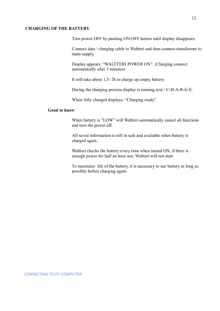#### **CHARGING OF THE BATTERY**

Turn power OFF by pushing ON/OFF button until display disappears.

Connect data / charging cable to Waltteri and then connect transformer to main supply.

Display appears: "WALTTERI POWER ON". (Charging connect automatically after 3 minutes)

It will take about 1,5- 2h to charge up empty battery.

During the charging process display is running text:: C-H-A-R-G-E.

When fully charged displays: "Charging ready".

#### **Good to know**

When battery is "LOW" will Waltteri automatically cancel all functions and turn the power off.

All saved information is still in safe and available when battery is charged again.

Waltteri checks the battery every time when turned ON, if there is enough power for half an hour use, Waltteri will not start.

To maximize life of the battery, it is necessary to use battery as long as possibly before charging again.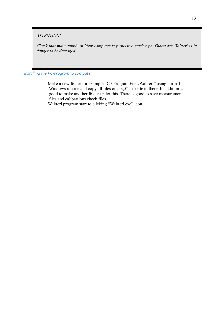#### *ATTENTION!*

*Check that main supply of Your computer is protective earth type. Otherwise Waltteri is in danger to be damaged.*

*Installing the PC-program to computer*

Make a new folder for example "C:/ Program Files/Waltteri" using normal Windows routine and copy all files on a 3,5" diskette to there. In addition is good to make another folder under this. There is good to save measurement files and calibrations check files.

Waltteri program start to clicking "Waltteri.exe" icon.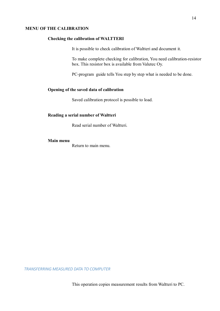#### **MENU OF THE CALIBRATION**

#### **Checking the calibration of WALTTERI**

It is possible to check calibration of Waltteri and document it.

To make complete checking for calibration, You need calibration-resistor box. This resistor box is available from Valutec Oy.

PC-program guide tells You step by step what is needed to be done.

#### **Opening of the saved data of calibration**

Saved calibration protocol is possible to load.

#### **Reading a serial number of Waltteri**

Read serial number of Waltteri.

#### **Main menu**

Return to main menu.

*TRANSFERRING MEASURED DATA TO COMPUTER*

This operation copies measurement results from Waltteri to PC.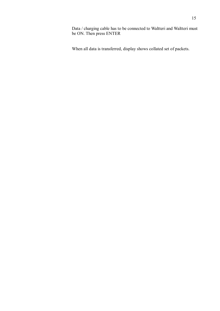Data / charging cable has to be connected to Waltteri and Waltteri must be ON. Then press ENTER

When all data is transferred, display shows collated set of packets.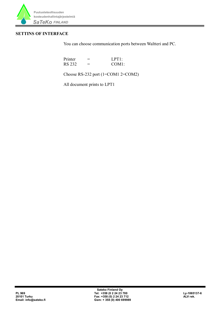

#### **SETTINS OF INTERFACE**

You can choose communication ports between Waltteri and PC.

| Printer       | ═ | LPT1:              |
|---------------|---|--------------------|
| <b>RS 232</b> | = | COM <sub>1</sub> : |

Choose RS-232 port (1=COM1 2=COM2)

All document prints to LPT1